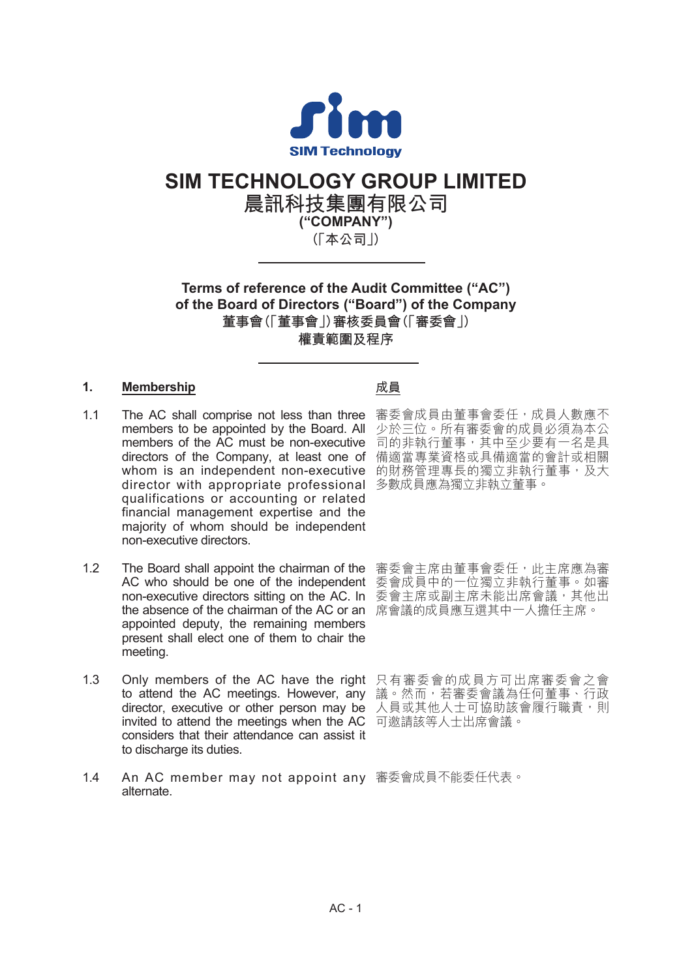

# **SIM TECHNOLOGY GROUP LIMITED**

**晨訊科技集團有限公司 ("COMPANY") (「本公司」)**

**Terms of reference of the Audit Committee ("AC") of the Board of Directors ("Board") of the Company 董事會(「董事會」)審核委員會(「審委會」) 權責範圍及程序**

# **1. Membership**

- 1.1 The AC shall comprise not less than three 審委會成員由董事會委任,成員人數應不 members to be appointed by the Board. All 少於三位。所有審委會的成員必須為本公 members of the AC must be non-executive directors of the Company, at least one of whom is an independent non-executive 的財務管理專長的獨立非執行董事,及大 director with appropriate professional 多數成員應為獨立非執立董事。 qualifications or accounting or related financial management expertise and the majority of whom should be independent non-executive directors.
- 1.2 The Board shall appoint the chairman of the 審委會主席由董事會委任,此主席應為審 AC who should be one of the independent 委會成員中的一位獨立非執行董事。如審 non-executive directors sitting on the AC. In 委會主席或副主席未能出席會議,其他出 the absence of the chairman of the AC or an 席會議的成員應互選其中一人擔任主席。 appointed deputy, the remaining members present shall elect one of them to chair the meeting.
- 1.3 Only members of the AC have the right 只有審委會的成員方可出席審委會之會 to attend the AC meetings. However, any 議。然而,若審委會議為任何董事、行政 director, executive or other person may be 人員或其他人士可協助該會履行職責,則 invited to attend the meetings when the AC 可邀請該等人士出席會議。 considers that their attendance can assist it to discharge its duties.
- 1.4 An AC member may not appoint any 審委會成員不能委任代表。alternate.

## **成員**

司的非執行董事,其中至少要有一名是具 備適當專業資格或具備適當的會計或相關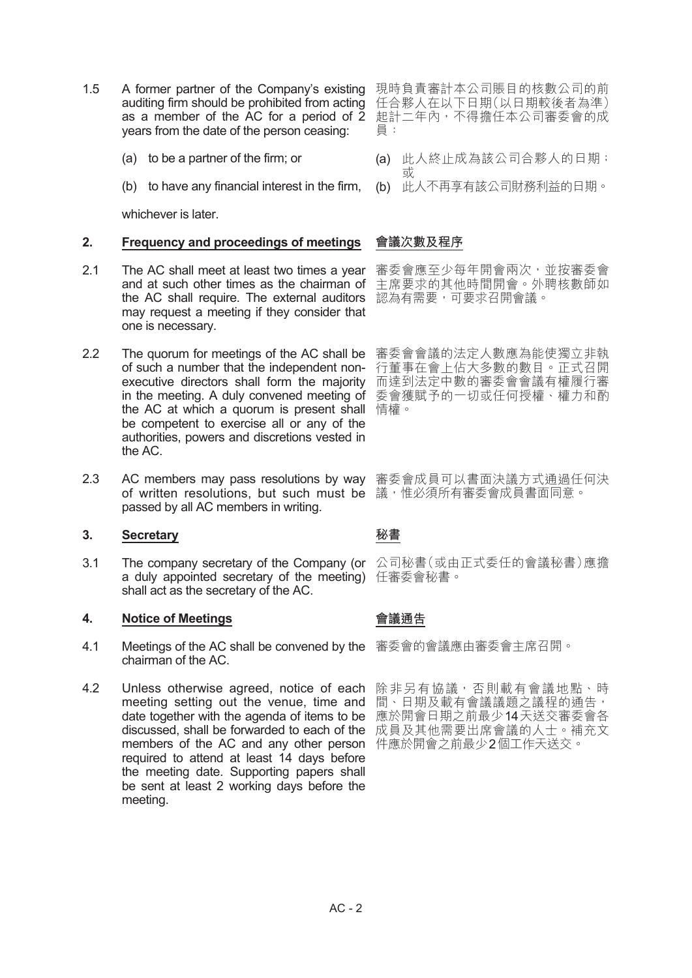- 1.5 A former partner of the Company's existing 現時負責審計本公司賬目的核數公司的前 auditing firm should be prohibited from acting as a member of the AC for a period of 2 years from the date of the person ceasing:
	- (a) to be a partner of the firm; or
	- (b) to have any financial interest in the firm,

whichever is later.

#### **2. Frequency and proceedings of meetings**

- 2.1 The AC shall meet at least two times a year 審委會應至少每年開會兩次,並按審委會 and at such other times as the chairman of 主席要求的其他時間開會。外聘核數師如 the AC shall require. The external auditors 認為有需要,可要求召開會議。 may request a meeting if they consider that one is necessary.
- 2.2 The quorum for meetings of the AC shall be 審委會會議的法定人數應為能使獨立非執 of such a number that the independent non-行董事在會上佔大多數的數目。正式召開 executive directors shall form the majority 而達到法定中數的審委會會議有權履行審 in the meeting. A duly convened meeting of 委會獲賦予的一切或任何授權、權力和酌 the AC at which a quorum is present shall 情權。 be competent to exercise all or any of the authorities, powers and discretions vested in the AC.
- 2.3 AC members may pass resolutions by way 審委會成員可以書面決議方式通過任何決 of written resolutions, but such must be 議,惟必須所有審委會成員書面同意。 passed by all AC members in writing.

#### **3. Secretary**

3.1 The company secretary of the Company (or 公司秘書(或由正式委任的會議秘書)應擔 a duly appointed secretary of the meeting) 任審委會秘書。 shall act as the secretary of the AC.

## **4. Notice of Meetings**

- 4.1 Meetings of the AC shall be convened by the 審委會的會議應由審委會主席召開。 chairman of the AC.
- 4.2 Unless otherwise agreed, notice of each 除非另有協議,否則載有會議地點、時 meeting setting out the venue, time and 間、日期及載有會議議題之議程的通告, date together with the agenda of items to be 應於開會日期之前最少14天送交審委會各 discussed, shall be forwarded to each of the 成員及其他需要出席會議的人士。補充文 members of the AC and any other person 件應於開會之前最少2個工作天送交。required to attend at least 14 days before the meeting date. Supporting papers shall be sent at least 2 working days before the meeting.

任合夥人在以下日期(以日期較後者為準) 起計二年內,不得擔任本公司審委會的成 員:

- (a) 此人終止成為該公司合夥人的日期; 或
- (b) 此人不再享有該公司財務利益的日期。

## **會議次數及程序**

#### **秘書**

## **會議通告**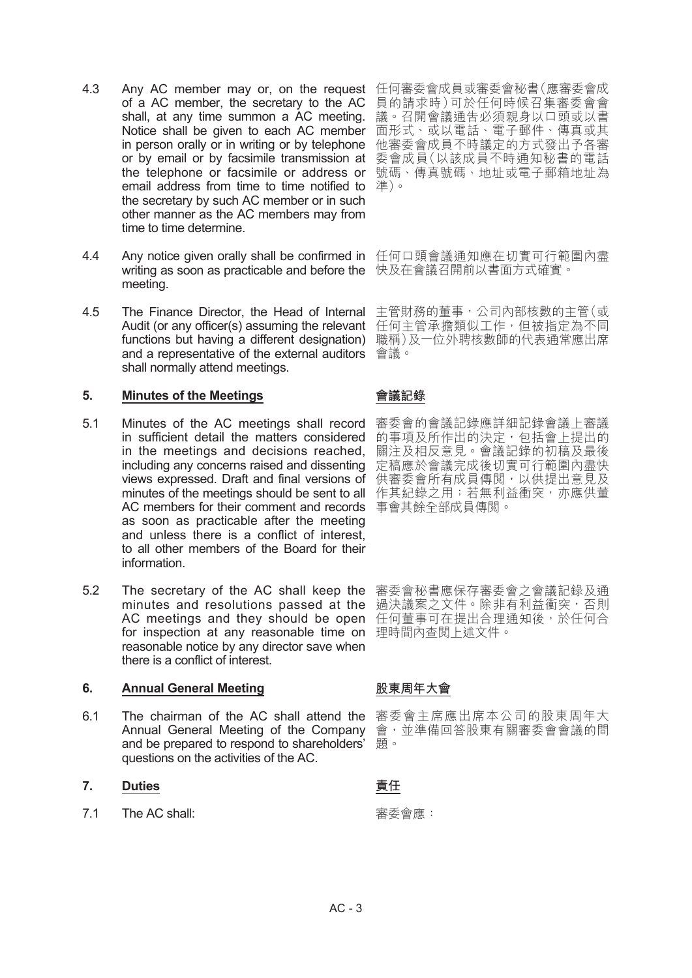- 4.3 Any AC member may or, on the request 任何審委會成員或審委會秘書(應審委會成 of a AC member, the secretary to the AC shall, at any time summon a AC meeting. Notice shall be given to each AC member 面形式、或以電話、電子郵件、傳真或其 in person orally or in writing or by telephone 他審委會成員不時議定的方式發出予各審 or by email or by facsimile transmission at 委會成員(以該成員不時通知秘書的電話 the telephone or facsimile or address or 號碼、傳真號碼、地址或電子郵箱地址為 email address from time to time notified to  $\text{ }^{2}\text{E}\text{)}\cdot$ the secretary by such AC member or in such other manner as the AC members may from time to time determine.
- 4.4 Any notice given orally shall be confirmed in 任何口頭會議通知應在切實可行範圍內盡 writing as soon as practicable and before the 快及在會議召開前以書面方式確實。 meeting.
- 4.5 The Finance Director, the Head of Internal 主管財務的董事,公司內部核數的主管(或 **Audit (or any officer(s) assuming the relevant**  任何主管承擔類似工作<sup>,</sup>但被指定為不同 functions but having a different designation) 職稱)及一位外聘核數師的代表通常應出席 and a representative of the external auditors 會議。 shall normally attend meetings.

## **5. Minutes of the Meetings**

- 5.1 Minutes of the AC meetings shall record 審委會的會議記錄應詳細記錄會議上審議 in sufficient detail the matters considered 的事項及所作出的決定,包括會上提出的 in the meetings and decisions reached, 關注及相反意見。會議記錄的初稿及最後 including any concerns raised and dissenting 定稿應於會議完成後切實可行範圍內盡快 views expressed. Draft and final versions of 供審委會所有成員傳閲,以供提出意見及 minutes of the meetings should be sent to all 作其紀錄之用;若無利益衝突,亦應供董 AC members for their comment and records 事會其餘全部成員傳閱。 as soon as practicable after the meeting and unless there is a conflict of interest, to all other members of the Board for their information.
- 5.2 The secretary of the AC shall keep the 審委會秘書應保存審委會之會議記錄及通 minutes and resolutions passed at the 過決議案之文件。除非有利益衝突,否則 AC meetings and they should be open for inspection at any reasonable time on reasonable notice by any director save when there is a conflict of interest.

## **6. Annual General Meeting**

6.1 The chairman of the AC shall attend the 審委會主席應出席本公司的股東周年大 Annual General Meeting of the Company and be prepared to respond to shareholders' questions on the activities of the AC.

# **7. Duties**

7.1 The AC shall:

員的請求時)可於任何時候召集審委會會 議。召開會議通告必須親身以口頭或以書

## **會議記錄**

任何董事可在提出合理通知後,於任何合 理時間內查閱上述文件。

# **股東周年大會**

會,並準備回答股東有關審委會會議的問 題。

# **責任**

審委會應: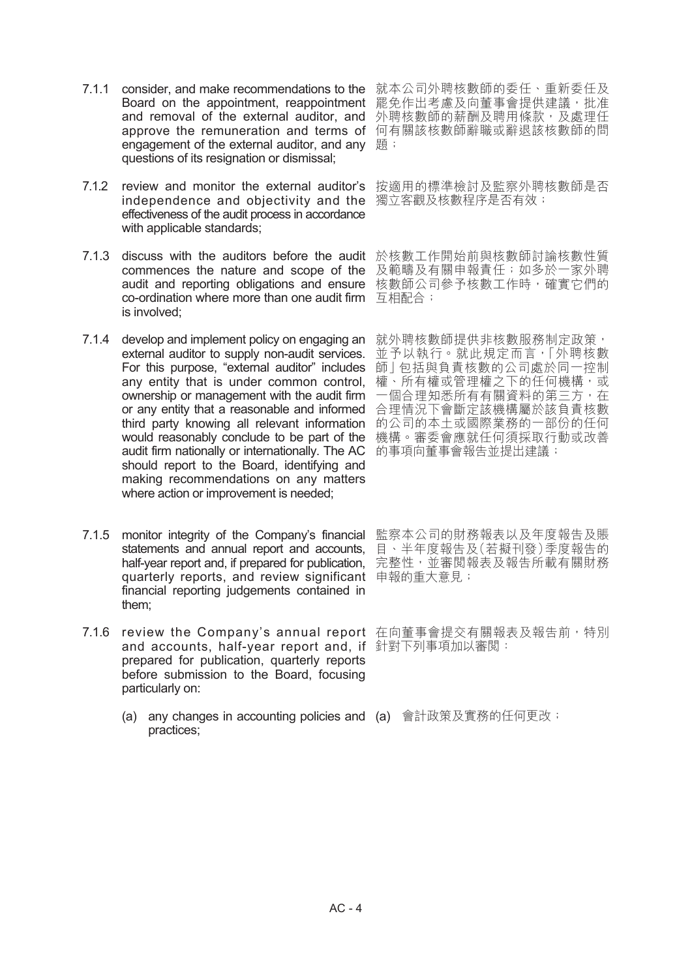- 7.1.1 consider, and make recommendations to the 就本公司外聘核數師的委任丶重新委任及 Board on the appointment, reappointment 罷免作出考慮及向董事會提供建議,批准 and removal of the external auditor, and 外聘核數師的薪酬及聘用條款,及處理任 approve the remuneration and terms of 何有關該核數師辭職或辭退該核數師的問 engagement of the external auditor, and any  $~\mathbb{B}$ ; questions of its resignation or dismissal;
- 7.1.2 review and monitor the external auditor's 按適用的標準檢討及監察外聘核數師是否 independence and objectivity and the 獨立客觀及核數程序是否有效; effectiveness of the audit process in accordance with applicable standards;
- 7.1.3 discuss with the auditors before the audit 於核數工作開始前與核數師討論核數性質 commences the nature and scope of the 及範疇及有關申報責任;如多於一家外聘 audit and reporting obligations and ensure 核數師公司參予核數工作時,確實它們的 co-ordination where more than one audit firm 国祖配合; is involved;
- 7.1.4 develop and implement policy on engaging an 就外聘核數師提供非核數服務制定政策<sup>,</sup> external auditor to supply non-audit services. 並予以執行。就此規定而言<sup>,</sup>「外聘核數 For this purpose, "external auditor" includes 師」包括與負責核數的公司處於同一控制 any entity that is under common control, 權、所有權或管理權之下的任何機構,或 ownership or management with the audit firm  一個合理知悉所有有關資料的第三方,在 or any entity that a reasonable and informed 台理情況下會斷定該機構屬於該負責核數 third party knowing all relevant information 的公司的本土或國際業務的一部份的任何 would reasonably conclude to be part of the 機構。審委會應就任何須採取行動或改善 audit firm nationally or internationally. The AC 的事項向董事會報告並提出建議; should report to the Board, identifying and making recommendations on any matters where action or improvement is needed;
- 7.1.5 monitor integrity of the Company's financial 監察本公司的財務報表以及年度報告及賬 statements and annual report and accounts, 目、半年度報告及(若擬刊發)季度報告的 half-year report and, if prepared for publication, 完整性<sup>,</sup>並審閲報表及報告所載有關財務 quarterly reports, and review significant 申報的重大意見; financial reporting judgements contained in them;
- 7.1.6 review the Company's annual report 在向董事會提交有關報表及報告前,特別 and accounts, half-year report and, if 針對下列事項加以審閱: prepared for publication, quarterly reports before submission to the Board, focusing particularly on:
	- (a) any changes in accounting policies and (a) 會計政策及實務的任何更改;practices;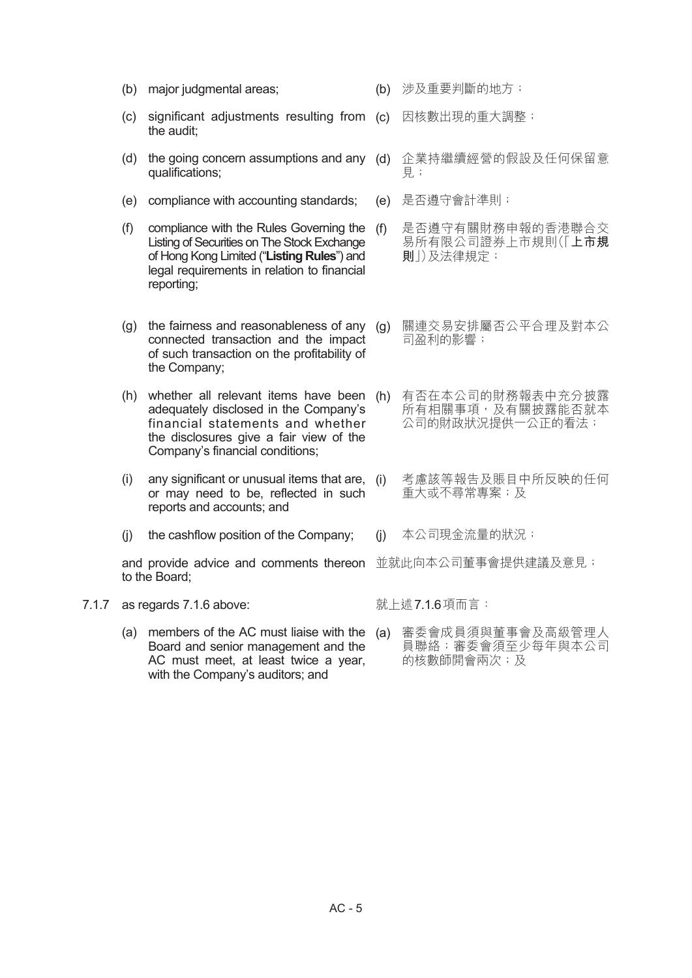- (b) major judgmental areas;
- (c) significant adjustments resulting from (c) 因核數出現的重大調整; the audit;
- (d) the going concern assumptions and any (d) 企業持繼續經營的假設及任何保留意 qualifications;
- (e) compliance with accounting standards;
- (f) compliance with the Rules Governing the Listing of Securities on The Stock Exchange of Hong Kong Limited ("**Listing Rules**") and legal requirements in relation to financial reporting;
- (g) the fairness and reasonableness of any  $(q)$ connected transaction and the impact of such transaction on the profitability of the Company;
- (h) whether all relevant items have been (h) 有否在本公司的財務報表中充分披露 adequately disclosed in the Company's financial statements and whether the disclosures give a fair view of the Company's financial conditions;
- $(i)$  any significant or unusual items that are,  $(i)$ or may need to be, reflected in such reports and accounts; and
- (j) the cashflow position of the Company;

and provide advice and comments thereon 並就此向本公司董事會提供建議及意見; to the Board;

- 7.1.7 as regards 7.1.6 above:
	- (a) members of the AC must liaise with the (a) 審委會成員須與董事會及高級管理人 Board and senior management and the AC must meet, at least twice a year, with the Company's auditors; and
- (b) 涉及重要判斷的地方;
- 
- 見;
- (e) 是否遵守會計準則;
- 是否遵守有關財務申報的香港聯合交 易所有限公司證券上市規則(「**上市規 則**」)及法律規定;
- (g) 關連交易安排屬否公平合理及對本公 司盈利的影響;
- 所有相關事項, 及有關披露能否就本 公司的財政狀況提供一公正的看法;
- 考慮該等報告及賬目中所反映的任何 重大或不尋常專案;及
- (j) 本公司現金流量的狀況;
- 

就上述7.1.6項而言:

員聯絡;審委會須至少每年與本公司 的核數師開會兩次;及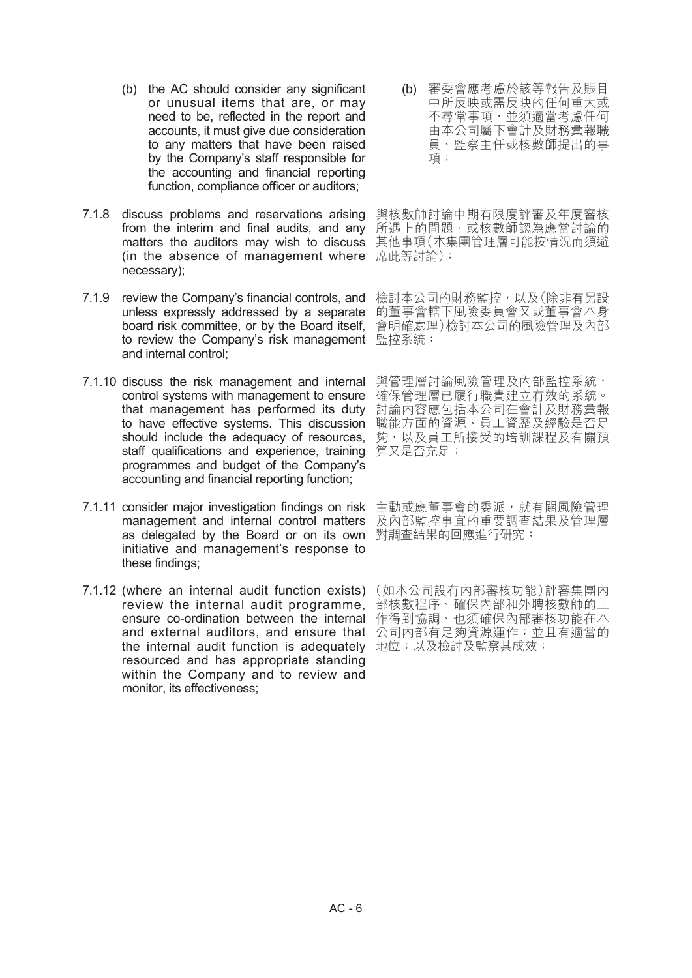- (b) the AC should consider any significant or unusual items that are, or may need to be, reflected in the report and accounts, it must give due consideration to any matters that have been raised by the Company's staff responsible for the accounting and financial reporting function, compliance officer or auditors;
- 7.1.8 discuss problems and reservations arising 與核數師討論中期有限度評審及年度審核 from the interim and final audits, and any 所遇上的問題、或核數師認為應當討論的 matters the auditors may wish to discuss 其他事項(本集團管理層可能按情況而須避 (in the absence of management where 席此等討論); necessary);
- 7.1.9 review the Company's financial controls, and 檢討本公司的財務監控<sup>,</sup>以及(除非有另設 unless expressly addressed by a separate 的董事會轄下風險委員會又或董事會本身 board risk committee, or by the Board itself, 會明確處理)檢討本公司的風險管理及內部 to review the Company's risk management 監控系統; and internal control;
- 7.1.10 discuss the risk management and internal 與管理層討論風險管理及內部監控系統, control systems with management to ensure 確保管理層已履行職責建立有效的系統。 that management has performed its duty 討論內容應包括本公司在會計及財務彙報 to have effective systems. This discussion 職能方面的資源、員工資歷及經驗是否足 should include the adequacy of resources, 夠,以及員工所接受的培訓課程及有關預 staff qualifications and experience, training 算又是否充足; programmes and budget of the Company's accounting and financial reporting function;
- 7.1.11 consider major investigation findings on risk 主動或應董事會的委派,就有關風險管理 management and internal control matters 及內部監控事宜的重要調查結果及管理層 as delegated by the Board or on its own 對調查結果的回應進行研究; initiative and management's response to these findings;
- 7.1.12 (where an internal audit function exists) (如本公司設有內部審核功能)評審集團內 review the internal audit programme, ensure co-ordination between the internal and external auditors, and ensure that 公司內部有足夠資源運作;並且有適當的 the internal audit function is adequately 地位;以及檢討及監察其成效; resourced and has appropriate standing within the Company and to review and monitor, its effectiveness;

(b) 審委會應考慮於該等報告及賬目 中所反映或需反映的任何重大或 不尋常事項,並須適當考慮任何 由本公司屬下會計及財務彙報職 員、監察主任或核數師提出的事 項;

部核數程序、確保內部和外聘核數師的工 作得到協調、也須確保內部審核功能在本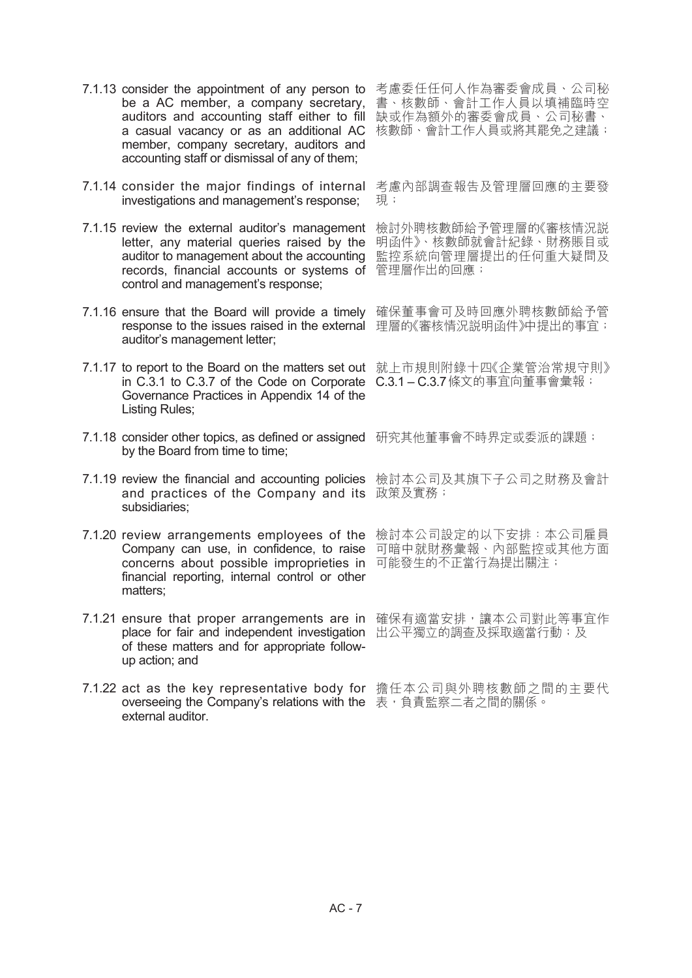- be a AC member, a company secretary, auditors and accounting staff either to fill a casual vacancy or as an additional AC 核數師、會計工作人員或將其罷免之建議; member, company secretary, auditors and accounting staff or dismissal of any of them;
- 7.1.14 consider the major findings of internal 考慮內部調查報告及管理層回應的主要發 investigations and management's response;
- 7.1.15 review the external auditor's management 檢討外聘核數師給予管理層的《審核情況説 letter, any material queries raised by the 明函件》、核數師就會計紀錄、財務賬目或 auditor to management about the accounting 監控系統向管理層提出的任何重大疑問及 records, financial accounts or systems of 管理層作出的回應; control and management's response;
- 7.1.16 ensure that the Board will provide a timely 確保董事會可及時回應外聘核數師給予管 response to the issues raised in the external 理層的《審核情況説明函件》中提出的事宜; auditor's management letter;
- 7.1.17 to report to the Board on the matters set out 就上市規則附錄十四《企業管治常規守則》 in C.3.1 to C.3.7 of the Code on Corporate C.3.1 – C.3.7條文的事宜向董事會彙報; Governance Practices in Appendix 14 of the Listing Rules;
- 7.1.18 consider other topics, as defined or assigned 研究其他董事會不時界定或委派的課題; by the Board from time to time;
- 7.1.19 review the financial and accounting policies 檢討本公司及其旗下子公司之財務及會計 and practices of the Company and its 政策及實務; subsidiaries;
- 7.1.20 review arrangements employees of the 檢討本公司設定的以下安排:本公司雇員 Company can use, in confidence, to raise 可暗中就財務彙報、內部監控或其他方面 concerns about possible improprieties in 可能發生的不正當行為提出關注; financial reporting, internal control or other matters;
- 7.1.21 ensure that proper arrangements are in 確保有適當安排,讓本公司對此等事宜作 place for fair and independent investigation 出公平獨立的調查及採取適當行動;及 of these matters and for appropriate followup action; and
- 7.1.22 act as the key representative body for 擔任本公司與外聘核數師之間的主要代 overseeing the Company's relations with the 表,負責監察二者之間的關係。 external auditor.

7.1.13 consider the appointment of any person to 考慮委任任何人作為審委會成員、公司秘 書、核數師、會計工作人員以填補臨時空 缺或作為額外的審委會成員、公司秘書、

現;